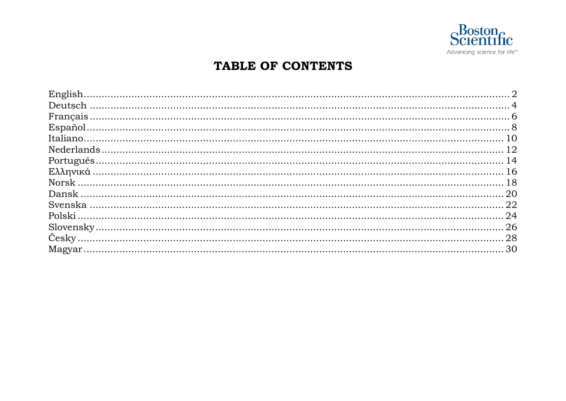

### TABLE OF CONTENTS

| $Español8$ |  |
|------------|--|
|            |  |
|            |  |
|            |  |
|            |  |
|            |  |
|            |  |
|            |  |
|            |  |
|            |  |
|            |  |
|            |  |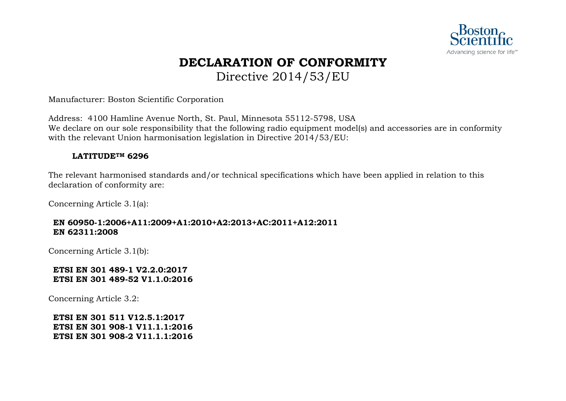

### **DECLARATION OF CONFORMITY** Directive 2014/53/EU

Manufacturer: Boston Scientific Corporation

Address: 4100 Hamline Avenue North, St. Paul, Minnesota 55112-5798, USA We declare on our sole responsibility that the following radio equipment model(s) and accessories are in conformity with the relevant Union harmonisation legislation in Directive 2014/53/EU:

### **LATITUDETM 6296**

The relevant harmonised standards and/or technical specifications which have been applied in relation to this declaration of conformity are:

Concerning Article 3.1(a):

### **EN 60950-1:2006+A11:2009+A1:2010+A2:2013+AC:2011+A12:2011 EN 62311:2008**

Concerning Article 3.1(b):

### **ETSI EN 301 489-1 V2.2.0:2017 ETSI EN 301 489-52 V1.1.0:2016**

Concerning Article 3.2: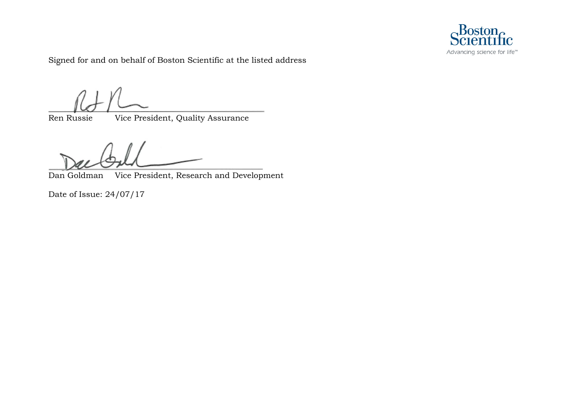

Signed for and on behalf of Boston Scientific at the listed address

Ren Russie Vice President, Quality Assurance

Dan Goldman Vice President, Research and Development

Date of Issue: 24/07/17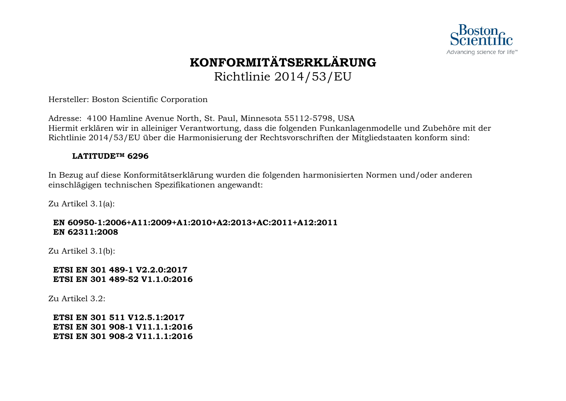

## **KONFORMITÄTSERKLÄRUNG** Richtlinie 2014/53/EU

Hersteller: Boston Scientific Corporation

Adresse: 4100 Hamline Avenue North, St. Paul, Minnesota 55112-5798, USA Hiermit erklären wir in alleiniger Verantwortung, dass die folgenden Funkanlagenmodelle und Zubehöre mit der Richtlinie 2014/53/EU über die Harmonisierung der Rechtsvorschriften der Mitgliedstaaten konform sind:

#### **LATITUDETM 6296**

In Bezug auf diese Konformitätserklärung wurden die folgenden harmonisierten Normen und/oder anderen einschlägigen technischen Spezifikationen angewandt:

Zu Artikel 3.1(a):

### **EN 60950-1:2006+A11:2009+A1:2010+A2:2013+AC:2011+A12:2011 EN 62311:2008**

Zu Artikel 3.1(b):

**ETSI EN 301 489-1 V2.2.0:2017 ETSI EN 301 489-52 V1.1.0:2016** 

Zu Artikel 3.2: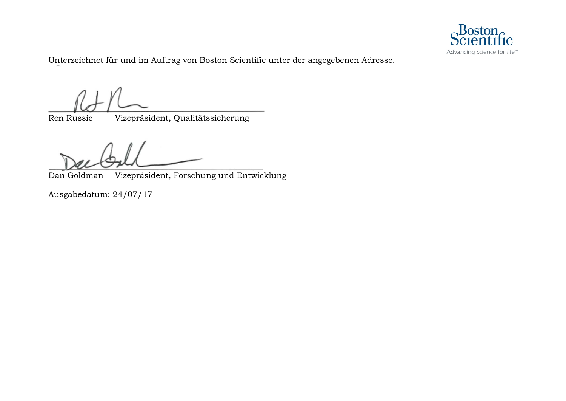

Unterzeichnet für und im Auftrag von Boston Scientific unter der angegebenen Adresse.

Ren Russie Vizepräsident, Qualitätssicherung

Dan Goldman Vizepräsident, Forschung und Entwicklung

Ausgabedatum: 24/07/17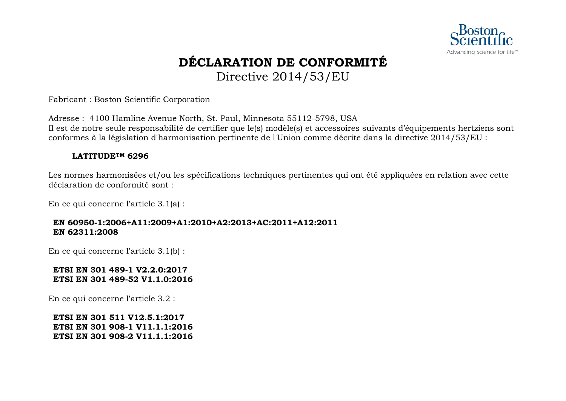

## **DÉCLARATION DE CONFORMITÉ** Directive 2014/53/EU

Fabricant : Boston Scientific Corporation

Adresse : 4100 Hamline Avenue North, St. Paul, Minnesota 55112-5798, USA Il est de notre seule responsabilité de certifier que le(s) modèle(s) et accessoires suivants d'équipements hertziens sont conformes à la législation d'harmonisation pertinente de l'Union comme décrite dans la directive 2014/53/EU :

### **LATITUDETM 6296**

Les normes harmonisées et/ou les spécifications techniques pertinentes qui ont été appliquées en relation avec cette déclaration de conformité sont :

En ce qui concerne l'article 3.1(a) :

### **EN 60950-1:2006+A11:2009+A1:2010+A2:2013+AC:2011+A12:2011 EN 62311:2008**

En ce qui concerne l'article 3.1(b) :

### **ETSI EN 301 489-1 V2.2.0:2017 ETSI EN 301 489-52 V1.1.0:2016**

En ce qui concerne l'article 3.2 :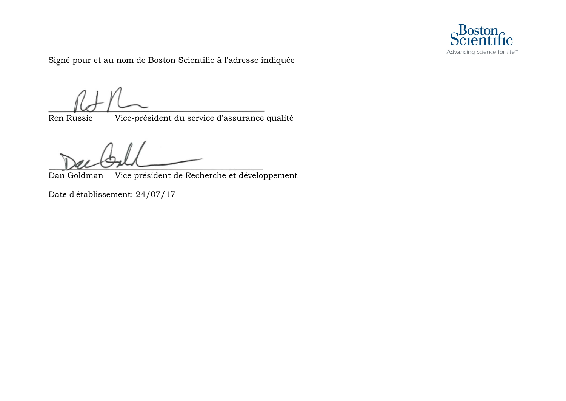

Signé pour et au nom de Boston Scientific à l'adresse indiquée

Ren Russie Vice-président du service d'assurance qualité

Dan Goldman Vice président de Recherche et développement

Date d'établissement: 24/07/17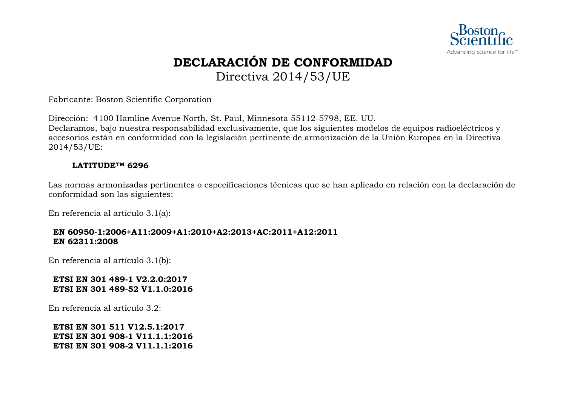

## **DECLARACIÓN DE CONFORMIDAD** Directiva 2014/53/UE

Fabricante: Boston Scientific Corporation

Dirección: 4100 Hamline Avenue North, St. Paul, Minnesota 55112-5798, EE. UU. Declaramos, bajo nuestra responsabilidad exclusivamente, que los siguientes modelos de equipos radioeléctricos y accesorios están en conformidad con la legislación pertinente de armonización de la Unión Europea en la Directiva 2014/53/UE:

### **LATITUDETM 6296**

Las normas armonizadas pertinentes o especificaciones técnicas que se han aplicado en relación con la declaración de conformidad son las siguientes:

En referencia al artículo 3.1(a):

### **EN 60950-1:2006+A11:2009+A1:2010+A2:2013+AC:2011+A12:2011 EN 62311:2008**

En referencia al artículo 3.1(b):

### **ETSI EN 301 489-1 V2.2.0:2017 ETSI EN 301 489-52 V1.1.0:2016**

En referencia al artículo 3.2: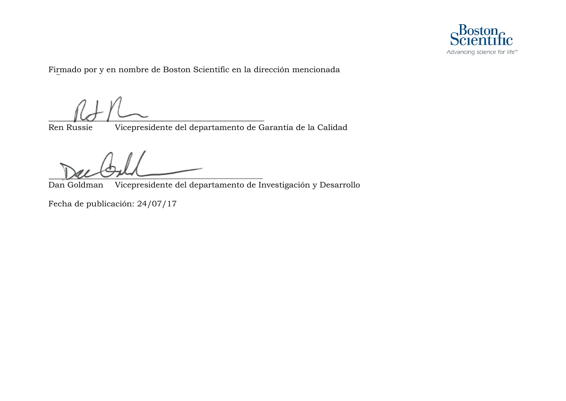

Firmado por y en nombre de Boston Scientific en la dirección mencionada

Ren Russie Vicepresidente del departamento de Garantía de la Calidad

Dan Goldman Vicepresidente del departamento de Investigación y Desarrollo

Fecha de publicación: 24/07/17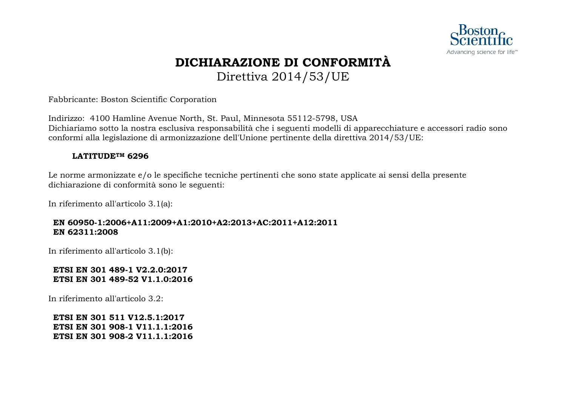

### **DICHIARAZIONE DI CONFORMITÀ** Direttiva 2014/53/UE

Fabbricante: Boston Scientific Corporation

Indirizzo: 4100 Hamline Avenue North, St. Paul, Minnesota 55112-5798, USA Dichiariamo sotto la nostra esclusiva responsabilità che i seguenti modelli di apparecchiature e accessori radio sono conformi alla legislazione di armonizzazione dell'Unione pertinente della direttiva 2014/53/UE:

### **LATITUDETM 6296**

Le norme armonizzate e/o le specifiche tecniche pertinenti che sono state applicate ai sensi della presente dichiarazione di conformità sono le seguenti:

In riferimento all'articolo 3.1(a):

### **EN 60950-1:2006+A11:2009+A1:2010+A2:2013+AC:2011+A12:2011 EN 62311:2008**

In riferimento all'articolo 3.1(b):

### **ETSI EN 301 489-1 V2.2.0:2017 ETSI EN 301 489-52 V1.1.0:2016**

In riferimento all'articolo 3.2: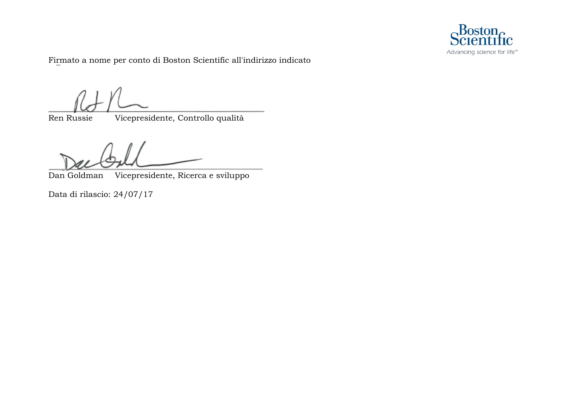

Firmato a nome per conto di Boston Scientific all'indirizzo indicato

Ren Russie Vicepresidente, Controllo qualità

Dan Goldman Vicepresidente, Ricerca e sviluppo

Data di rilascio: 24/07/17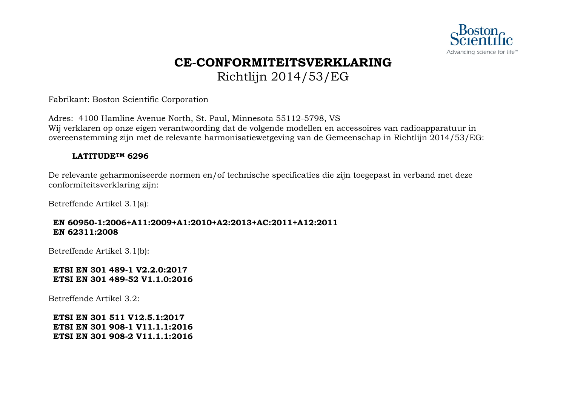

### **CE-CONFORMITEITSVERKLARING** Richtlijn 2014/53/EG

Fabrikant: Boston Scientific Corporation

Adres: 4100 Hamline Avenue North, St. Paul, Minnesota 55112-5798, VS Wij verklaren op onze eigen verantwoording dat de volgende modellen en accessoires van radioapparatuur in overeenstemming zijn met de relevante harmonisatiewetgeving van de Gemeenschap in Richtlijn 2014/53/EG:

### **LATITUDETM 6296**

De relevante geharmoniseerde normen en/of technische specificaties die zijn toegepast in verband met deze conformiteitsverklaring zijn:

Betreffende Artikel 3.1(a):

### **EN 60950-1:2006+A11:2009+A1:2010+A2:2013+AC:2011+A12:2011 EN 62311:2008**

Betreffende Artikel 3.1(b):

### **ETSI EN 301 489-1 V2.2.0:2017 ETSI EN 301 489-52 V1.1.0:2016**

Betreffende Artikel 3.2: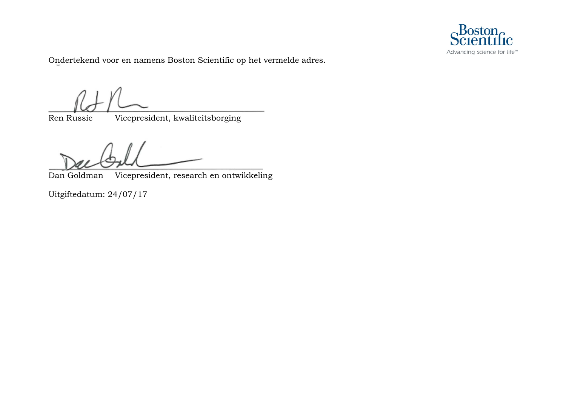

Ondertekend voor en namens Boston Scientific op het vermelde adres.

Ren Russie Vicepresident, kwaliteitsborging

Dan Goldman Vicepresident, research en ontwikkeling

Uitgiftedatum: 24/07/17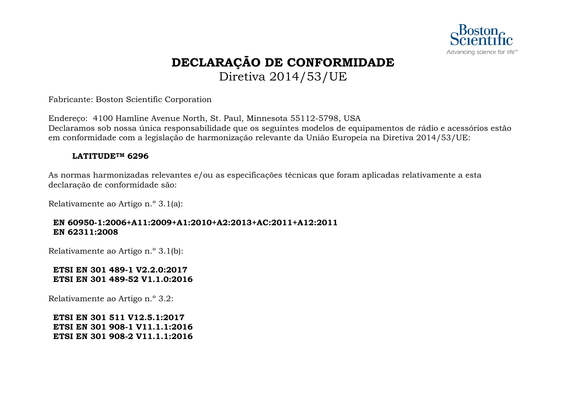

### **DECLARAÇÃO DE CONFORMIDADE** Diretiva 2014/53/UE

Fabricante: Boston Scientific Corporation

Endereço: 4100 Hamline Avenue North, St. Paul, Minnesota 55112-5798, USA Declaramos sob nossa única responsabilidade que os seguintes modelos de equipamentos de rádio e acessórios estão em conformidade com a legislação de harmonização relevante da União Europeia na Diretiva 2014/53/UE:

#### **LATITUDETM 6296**

As normas harmonizadas relevantes e/ou as especificações técnicas que foram aplicadas relativamente a esta declaração de conformidade são:

Relativamente ao Artigo n.º 3.1(a):

### **EN 60950-1:2006+A11:2009+A1:2010+A2:2013+AC:2011+A12:2011 EN 62311:2008**

Relativamente ao Artigo n.º 3.1(b):

### **ETSI EN 301 489-1 V2.2.0:2017 ETSI EN 301 489-52 V1.1.0:2016**

Relativamente ao Artigo n.º 3.2: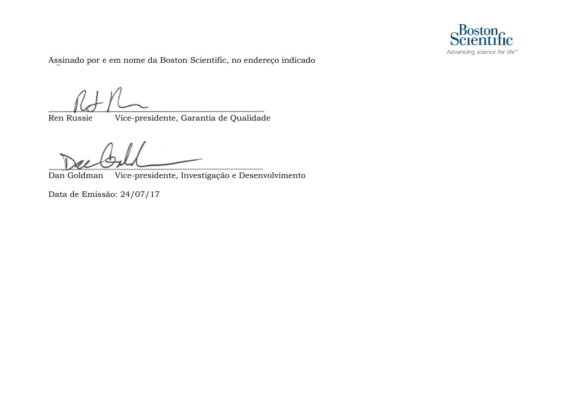

Assinado por e em nome da Boston Scientific, no endereço indicado

Ren Russie Vice-presidente, Garantia de Qualidade

Dan Goldman Vice-presidente, Investigação e Desenvolvimento

Data de Emissão: 24/07/17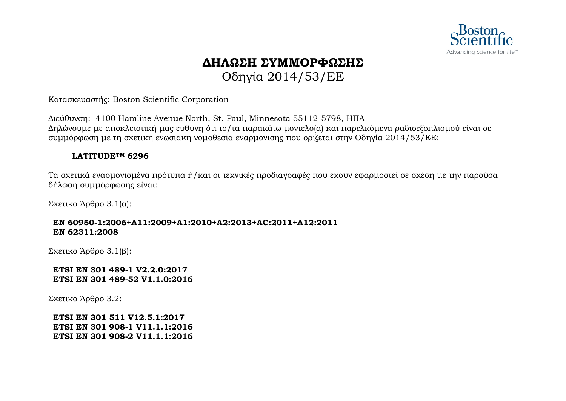

# **ΔΗΛΩΣΗ ΣΥΜΜΟΡΦΩΣΗΣ**

Οδηγία 2014/53/EΕ

Κατασκευαστής: Boston Scientific Corporation

Διεύθυνση: 4100 Hamline Avenue North, St. Paul, Minnesota 55112-5798, ΗΠΑ Δηλώνουμε με αποκλειστική μας ευθύνη ότι το/τα παρακάτω μοντέλο(α) και παρελκόμενα ραδιοεξοπλισμού είναι σε συμμόρφωση με τη σχετική ενωσιακή νομοθεσία εναρμόνισης που ορίζεται στην Οδηγία 2014/53/EΕ:

### **LATITUDETM 6296**

Τα σχετικά εναρμονισμένα πρότυπα ή/και οι τεχνικές προδιαγραφές που έχουν εφαρμοστεί σε σχέση με την παρούσα δήλωση συμμόρφωσης είναι:

Σχετικό Άρθρο 3.1(α):

### **EN 60950-1:2006+A11:2009+A1:2010+A2:2013+AC:2011+A12:2011 EN 62311:2008**

Σχετικό Άρθρο 3.1(β):

### **ETSI EN 301 489-1 V2.2.0:2017 ETSI EN 301 489-52 V1.1.0:2016**

Σχετικό Άρθρο 3.2: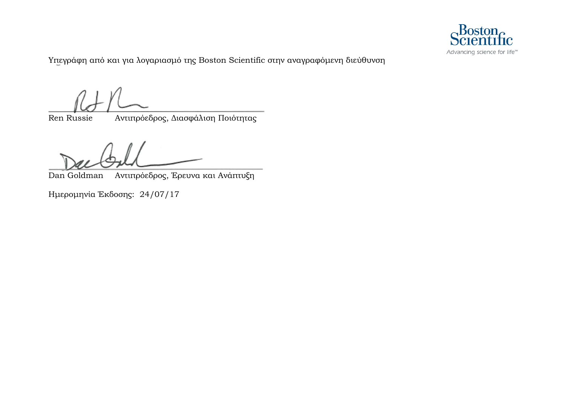

Υπεγράφη από και για λογαριασμό της Boston Scientific στην αναγραφόμενη διεύθυνση

Ren Russie Αντιπρόεδρος, Διασφάλιση Ποιότητας

Dan Goldman Αντιπρόεδρος, Έρευνα και Ανάπτυξη

Ημερομηνία Έκδοσης: 24/07/17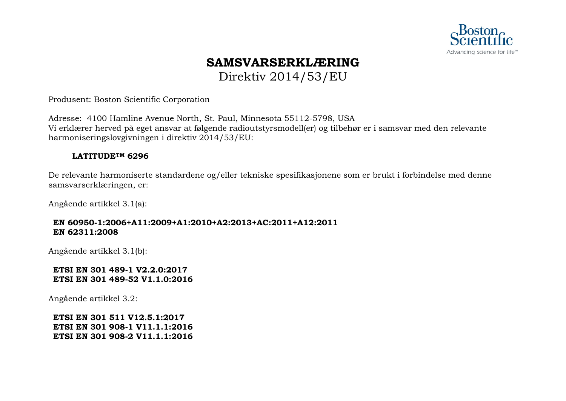

## **SAMSVARSERKLÆRING**

Direktiv 2014/53/EU

Produsent: Boston Scientific Corporation

Adresse: 4100 Hamline Avenue North, St. Paul, Minnesota 55112-5798, USA Vi erklærer herved på eget ansvar at følgende radioutstyrsmodell(er) og tilbehør er i samsvar med den relevante harmoniseringslovgivningen i direktiv 2014/53/EU:

### **LATITUDETM 6296**

De relevante harmoniserte standardene og/eller tekniske spesifikasjonene som er brukt i forbindelse med denne samsvarserklæringen, er:

Angående artikkel 3.1(a):

### **EN 60950-1:2006+A11:2009+A1:2010+A2:2013+AC:2011+A12:2011 EN 62311:2008**

Angående artikkel 3.1(b):

### **ETSI EN 301 489-1 V2.2.0:2017 ETSI EN 301 489-52 V1.1.0:2016**

Angående artikkel 3.2: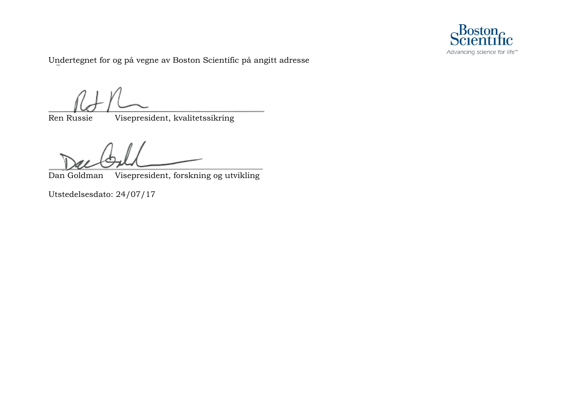

Undertegnet for og på vegne av Boston Scientific på angitt adresse

Ren Russie Visepresident, kvalitetssikring

Dan Goldman Visepresident, forskning og utvikling

Utstedelsesdato: 24/07/17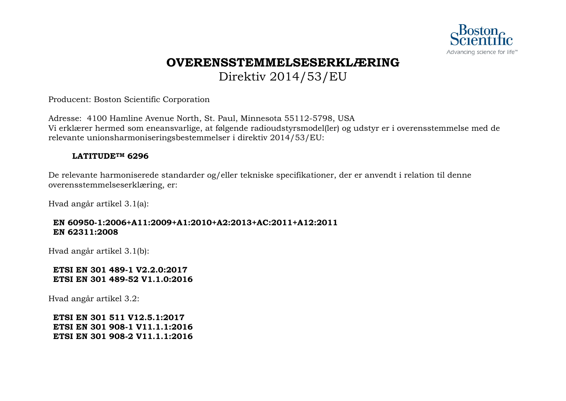

### **OVERENSSTEMMELSESERKLÆRING** Direktiv 2014/53/EU

Producent: Boston Scientific Corporation

Adresse: 4100 Hamline Avenue North, St. Paul, Minnesota 55112-5798, USA Vi erklærer hermed som eneansvarlige, at følgende radioudstyrsmodel(ler) og udstyr er i overensstemmelse med de relevante unionsharmoniseringsbestemmelser i direktiv 2014/53/EU:

### **LATITUDETM 6296**

De relevante harmoniserede standarder og/eller tekniske specifikationer, der er anvendt i relation til denne overensstemmelseserklæring, er:

Hvad angår artikel 3.1(a):

### **EN 60950-1:2006+A11:2009+A1:2010+A2:2013+AC:2011+A12:2011 EN 62311:2008**

Hvad angår artikel 3.1(b):

### **ETSI EN 301 489-1 V2.2.0:2017 ETSI EN 301 489-52 V1.1.0:2016**

Hvad angår artikel 3.2: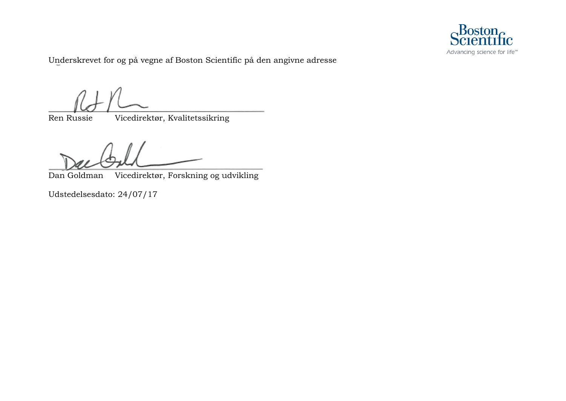

Underskrevet for og på vegne af Boston Scientific på den angivne adresse

Ren Russie Vicedirektør, Kvalitetssikring

Dan Goldman Vicedirektør, Forskning og udvikling

Udstedelsesdato: 24/07/17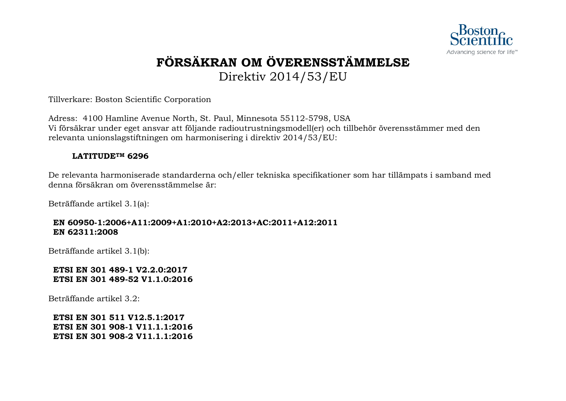

## **FÖRSÄKRAN OM ÖVERENSSTÄMMELSE** Direktiv 2014/53/EU

Tillverkare: Boston Scientific Corporation

Adress: 4100 Hamline Avenue North, St. Paul, Minnesota 55112-5798, USA Vi försäkrar under eget ansvar att följande radioutrustningsmodell(er) och tillbehör överensstämmer med den relevanta unionslagstiftningen om harmonisering i direktiv 2014/53/EU:

### **LATITUDETM 6296**

De relevanta harmoniserade standarderna och/eller tekniska specifikationer som har tillämpats i samband med denna försäkran om överensstämmelse är:

Beträffande artikel 3.1(a):

### **EN 60950-1:2006+A11:2009+A1:2010+A2:2013+AC:2011+A12:2011 EN 62311:2008**

Beträffande artikel 3.1(b):

### **ETSI EN 301 489-1 V2.2.0:2017 ETSI EN 301 489-52 V1.1.0:2016**

Beträffande artikel 3.2: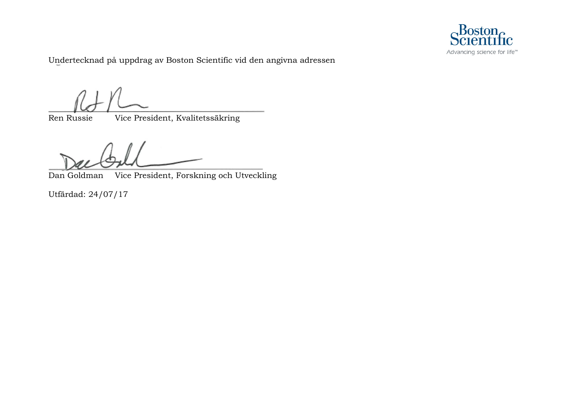

Undertecknad på uppdrag av Boston Scientific vid den angivna adressen

Ren Russie Vice President, Kvalitetssäkring

Dan Goldman Vice President, Forskning och Utveckling

Utfärdad: 24/07/17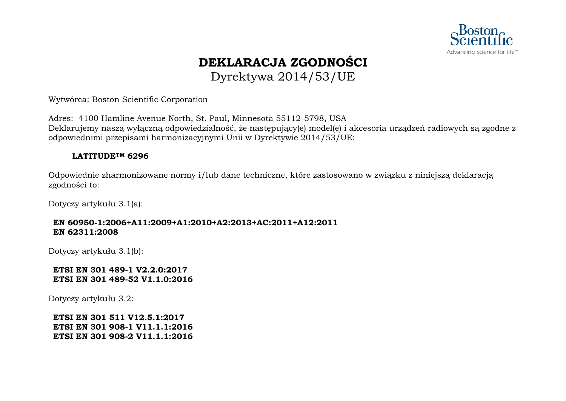

### **DEKLARACJA ZGODNOŚCI** Dyrektywa 2014/53/UE

Wytwórca: Boston Scientific Corporation

Adres: 4100 Hamline Avenue North, St. Paul, Minnesota 55112-5798, USA Deklarujemy naszą wyłączną odpowiedzialność, że następujący(e) model(e) i akcesoria urządzeń radiowych są zgodne z odpowiednimi przepisami harmonizacyjnymi Unii w Dyrektywie 2014/53/UE:

### **LATITUDETM 6296**

Odpowiednie zharmonizowane normy i/lub dane techniczne, które zastosowano w związku z niniejszą deklaracją zgodności to:

Dotyczy artykułu 3.1(a):

### **EN 60950-1:2006+A11:2009+A1:2010+A2:2013+AC:2011+A12:2011 EN 62311:2008**

Dotyczy artykułu 3.1(b):

### **ETSI EN 301 489-1 V2.2.0:2017 ETSI EN 301 489-52 V1.1.0:2016**

Dotyczy artykułu 3.2: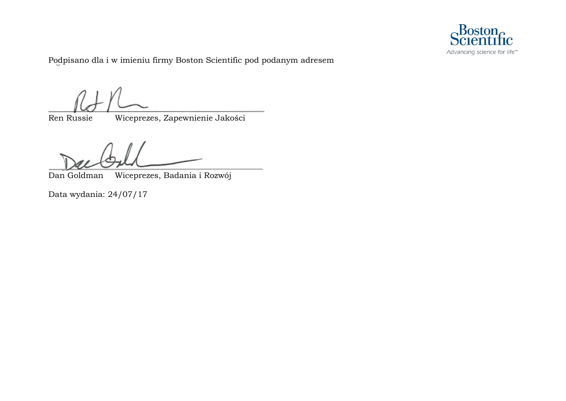

Podpisano dla i w imieniu firmy Boston Scientific pod podanym adresem

Ren Russie Wiceprezes, Zapewnienie Jakości

Dan Goldman Wiceprezes, Badania i Rozwój

Data wydania: 24/07/17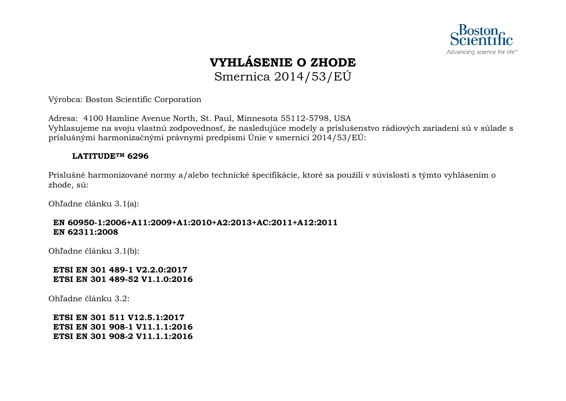

## **VYHLÁSENIE O ZHODE** Smernica 2014/53/EÚ

Výrobca: Boston Scientific Corporation

Adresa: 4100 Hamline Avenue North, St. Paul, Minnesota 55112-5798, USA Vyhlasujeme na svoju vlastnú zodpovednosť, že nasledujúce modely a príslušenstvo rádiových zariadení sú v súlade s príslušnými harmonizačnými právnymi predpismi Únie v smernici 2014/53/EÚ:

### **LATITUDETM 6296**

Príslušné harmonizované normy a/alebo technické špecifikácie, ktoré sa použili v súvislosti s týmto vyhlásením o zhode, sú:

Ohľadne článku 3.1(a):

### **EN 60950-1:2006+A11:2009+A1:2010+A2:2013+AC:2011+A12:2011 EN 62311:2008**

Ohľadne článku 3.1(b):

### **ETSI EN 301 489-1 V2.2.0:2017 ETSI EN 301 489-52 V1.1.0:2016**

Ohľadne článku 3.2: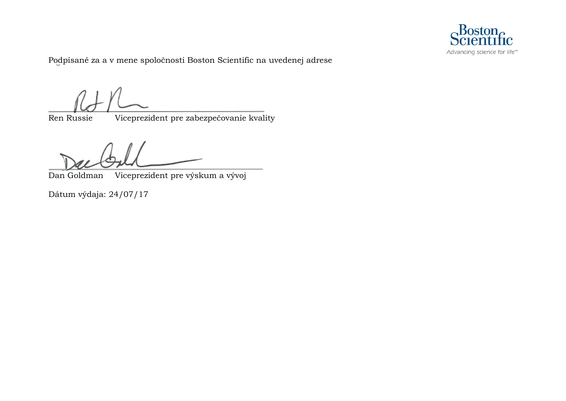

Podpísané za a v mene spoločnosti Boston Scientific na uvedenej adrese

Ren Russie Viceprezident pre zabezpečovanie kvality

Dan Goldman Viceprezident pre výskum a vývoj

Dátum výdaja: 24/07/17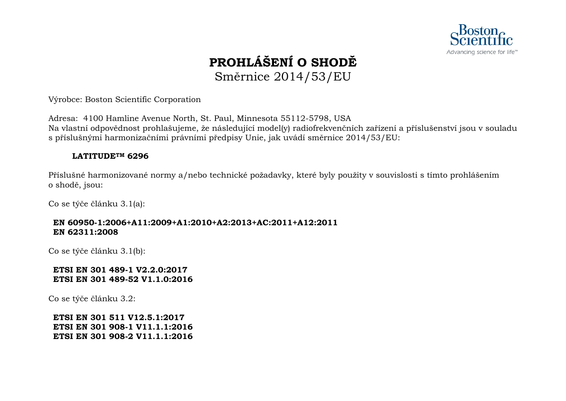

## **PROHLÁŠENÍ O SHODĚ** Směrnice 2014/53/EU

Výrobce: Boston Scientific Corporation

Adresa: 4100 Hamline Avenue North, St. Paul, Minnesota 55112-5798, USA Na vlastní odpovědnost prohlašujeme, že následující model(y) radiofrekvenčních zařízení a příslušenství jsou v souladu s příslušnými harmonizačními právními předpisy Unie, jak uvádí směrnice 2014/53/EU:

### **LATITUDETM 6296**

Příslušné harmonizované normy a/nebo technické požadavky, které byly použity v souvislosti s tímto prohlášením o shodě, jsou:

Co se týče článku 3.1(a):

### **EN 60950-1:2006+A11:2009+A1:2010+A2:2013+AC:2011+A12:2011 EN 62311:2008**

Co se týče článku 3.1(b):

### **ETSI EN 301 489-1 V2.2.0:2017 ETSI EN 301 489-52 V1.1.0:2016**

Co se týče článku 3.2: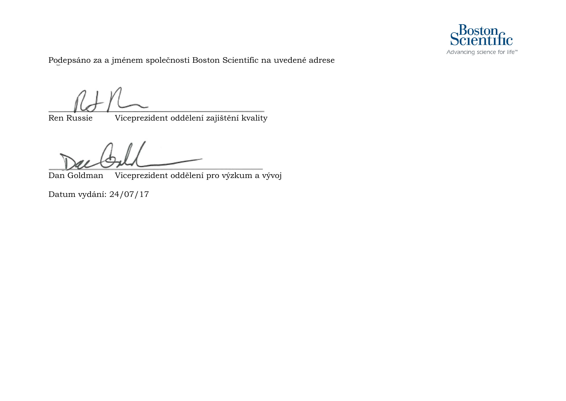

Podepsáno za a jménem společnosti Boston Scientific na uvedené adrese

Ren Russie Viceprezident oddělení zajištění kvality

Dan Goldman Viceprezident oddělení pro výzkum a vývoj

Datum vydání: 24/07/17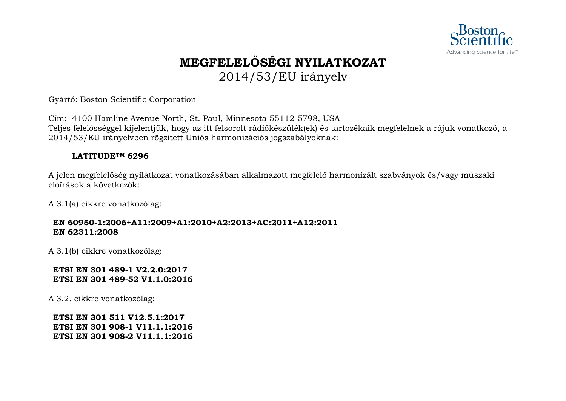

## **MEGFELELŐSÉGI NYILATKOZAT** 2014/53/EU irányelv

Gyártó: Boston Scientific Corporation

Cím: 4100 Hamline Avenue North, St. Paul, Minnesota 55112-5798, USA Teljes felelősséggel kijelentjük, hogy az itt felsorolt rádiókészülék(ek) és tartozékaik megfelelnek a rájuk vonatkozó, a 2014/53/EU irányelvben rögzített Uniós harmonizációs jogszabályoknak:

### **LATITUDETM 6296**

A jelen megfelelőség nyilatkozat vonatkozásában alkalmazott megfelelő harmonizált szabványok és/vagy műszaki előírások a következők:

A 3.1(a) cikkre vonatkozólag:

### **EN 60950-1:2006+A11:2009+A1:2010+A2:2013+AC:2011+A12:2011 EN 62311:2008**

A 3.1(b) cikkre vonatkozólag:

### **ETSI EN 301 489-1 V2.2.0:2017 ETSI EN 301 489-52 V1.1.0:2016**

A 3.2. cikkre vonatkozólag: